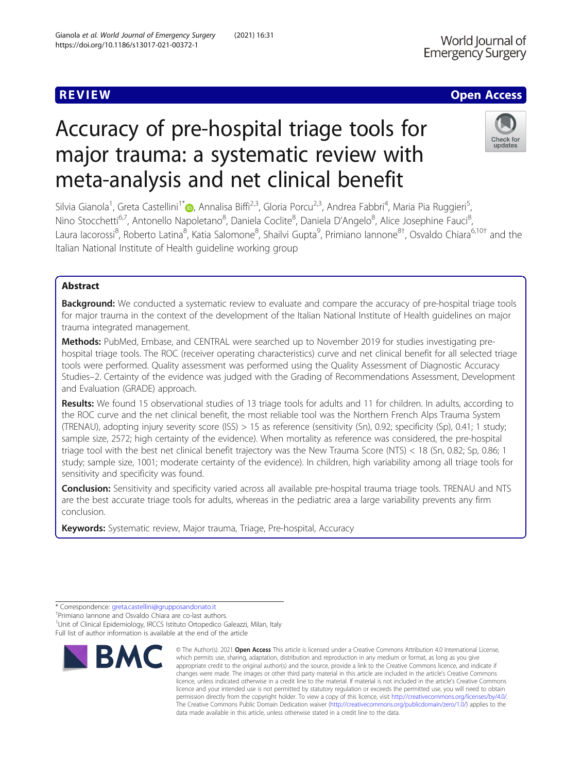# **Emergency Surgery**

### **REVIEW ACCESS AND LOCAL CONTRACT CONTRACT OF ACCESS**

World lournal of

## Accuracy of pre-hospital triage tools for major trauma: a systematic review with meta-analysis and net clinical benefit



Silvia Gianola<sup>1</sup>, Greta Castellini<sup>1[\\*](http://orcid.org/0000-0002-3345-8187)</sup>®, Annalisa Biffi<sup>2,3</sup>, Gloria Porcu<sup>2,3</sup>, Andrea Fabbri<sup>4</sup>, Maria Pia Ruggieri<sup>5</sup> , Nino Stocchetti<sup>6,7</sup>, Antonello Napoletano<sup>8</sup>, Daniela Coclite<sup>8</sup>, Daniela D'Angelo<sup>8</sup>, Alice Josephine Fauci<sup>8</sup> , Laura Iacorossi<sup>8</sup>, Roberto Latina<sup>8</sup>, Katia Salomone<sup>8</sup>, Shailvi Gupta<sup>9</sup>, Primiano Iannone<sup>8†</sup>, Osvaldo Chiara<sup>6,10†</sup> and the Italian National Institute of Health guideline working group

#### Abstract

Background: We conducted a systematic review to evaluate and compare the accuracy of pre-hospital triage tools for major trauma in the context of the development of the Italian National Institute of Health guidelines on major trauma integrated management.

Methods: PubMed, Embase, and CENTRAL were searched up to November 2019 for studies investigating prehospital triage tools. The ROC (receiver operating characteristics) curve and net clinical benefit for all selected triage tools were performed. Quality assessment was performed using the Quality Assessment of Diagnostic Accuracy Studies–2. Certainty of the evidence was judged with the Grading of Recommendations Assessment, Development and Evaluation (GRADE) approach.

Results: We found 15 observational studies of 13 triage tools for adults and 11 for children. In adults, according to the ROC curve and the net clinical benefit, the most reliable tool was the Northern French Alps Trauma System (TRENAU), adopting injury severity score (ISS) > 15 as reference (sensitivity (Sn), 0.92; specificity (Sp), 0.41; 1 study; sample size, 2572; high certainty of the evidence). When mortality as reference was considered, the pre-hospital triage tool with the best net clinical benefit trajectory was the New Trauma Score (NTS) < 18 (Sn, 0.82; Sp, 0.86; 1 study; sample size, 1001; moderate certainty of the evidence). In children, high variability among all triage tools for sensitivity and specificity was found.

Conclusion: Sensitivity and specificity varied across all available pre-hospital trauma triage tools. TRENAU and NTS are the best accurate triage tools for adults, whereas in the pediatric area a large variability prevents any firm conclusion.

Keywords: Systematic review, Major trauma, Triage, Pre-hospital, Accuracy

Primiano Iannone and Osvaldo Chiara are co-last authors. <sup>1</sup>Unit of Clinical Epidemiology, IRCCS Istituto Ortopedico Galeazzi, Milan, Italy

Full list of author information is available at the end of the article



<sup>©</sup> The Author(s), 2021 **Open Access** This article is licensed under a Creative Commons Attribution 4.0 International License, which permits use, sharing, adaptation, distribution and reproduction in any medium or format, as long as you give appropriate credit to the original author(s) and the source, provide a link to the Creative Commons licence, and indicate if changes were made. The images or other third party material in this article are included in the article's Creative Commons licence, unless indicated otherwise in a credit line to the material. If material is not included in the article's Creative Commons licence and your intended use is not permitted by statutory regulation or exceeds the permitted use, you will need to obtain permission directly from the copyright holder. To view a copy of this licence, visit [http://creativecommons.org/licenses/by/4.0/.](http://creativecommons.org/licenses/by/4.0/) The Creative Commons Public Domain Dedication waiver [\(http://creativecommons.org/publicdomain/zero/1.0/](http://creativecommons.org/publicdomain/zero/1.0/)) applies to the data made available in this article, unless otherwise stated in a credit line to the data.

<sup>\*</sup> Correspondence: [greta.castellini@grupposandonato.it](mailto:greta.castellini@grupposandonato.it) †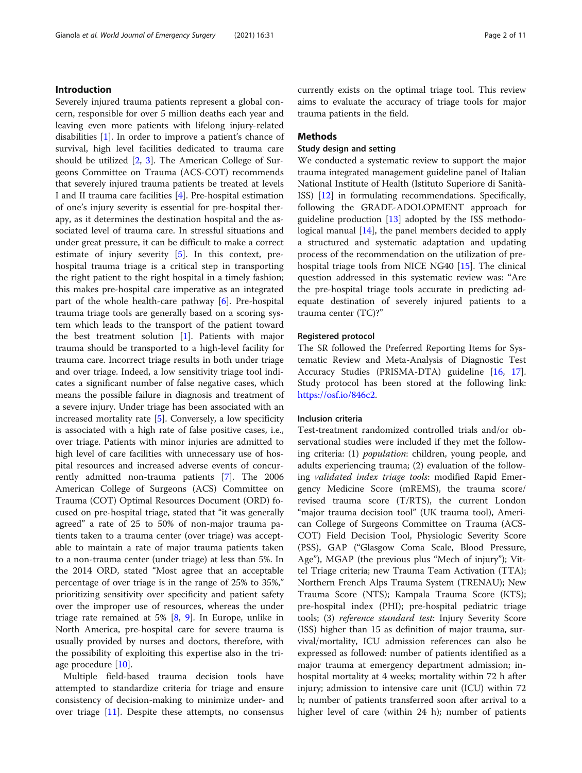#### Introduction

Severely injured trauma patients represent a global concern, responsible for over 5 million deaths each year and leaving even more patients with lifelong injury-related disabilities [[1\]](#page-9-0). In order to improve a patient's chance of survival, high level facilities dedicated to trauma care should be utilized [\[2](#page-9-0), [3\]](#page-9-0). The American College of Surgeons Committee on Trauma (ACS-COT) recommends that severely injured trauma patients be treated at levels I and II trauma care facilities [\[4](#page-9-0)]. Pre-hospital estimation of one's injury severity is essential for pre-hospital therapy, as it determines the destination hospital and the associated level of trauma care. In stressful situations and under great pressure, it can be difficult to make a correct estimate of injury severity [[5\]](#page-9-0). In this context, prehospital trauma triage is a critical step in transporting the right patient to the right hospital in a timely fashion; this makes pre-hospital care imperative as an integrated part of the whole health-care pathway [[6\]](#page-9-0). Pre-hospital trauma triage tools are generally based on a scoring system which leads to the transport of the patient toward the best treatment solution [\[1](#page-9-0)]. Patients with major trauma should be transported to a high-level facility for trauma care. Incorrect triage results in both under triage and over triage. Indeed, a low sensitivity triage tool indicates a significant number of false negative cases, which means the possible failure in diagnosis and treatment of a severe injury. Under triage has been associated with an increased mortality rate [[5\]](#page-9-0). Conversely, a low specificity is associated with a high rate of false positive cases, i.e., over triage. Patients with minor injuries are admitted to high level of care facilities with unnecessary use of hospital resources and increased adverse events of concurrently admitted non-trauma patients [[7\]](#page-9-0). The 2006 American College of Surgeons (ACS) Committee on Trauma (COT) Optimal Resources Document (ORD) focused on pre-hospital triage, stated that "it was generally agreed" a rate of 25 to 50% of non-major trauma patients taken to a trauma center (over triage) was acceptable to maintain a rate of major trauma patients taken to a non-trauma center (under triage) at less than 5%. In the 2014 ORD, stated "Most agree that an acceptable percentage of over triage is in the range of 25% to 35%," prioritizing sensitivity over specificity and patient safety over the improper use of resources, whereas the under triage rate remained at 5% [[8,](#page-9-0) [9](#page-9-0)]. In Europe, unlike in North America, pre-hospital care for severe trauma is usually provided by nurses and doctors, therefore, with the possibility of exploiting this expertise also in the triage procedure [[10](#page-9-0)].

Multiple field-based trauma decision tools have attempted to standardize criteria for triage and ensure consistency of decision-making to minimize under- and over triage [\[11\]](#page-9-0). Despite these attempts, no consensus currently exists on the optimal triage tool. This review aims to evaluate the accuracy of triage tools for major trauma patients in the field.

#### **Methods**

#### Study design and setting

We conducted a systematic review to support the major trauma integrated management guideline panel of Italian National Institute of Health (Istituto Superiore di Sanità-ISS) [[12\]](#page-9-0) in formulating recommendations. Specifically, following the GRADE-ADOLOPMENT approach for guideline production  $[13]$  $[13]$  adopted by the ISS methodological manual  $[14]$  $[14]$  $[14]$ , the panel members decided to apply a structured and systematic adaptation and updating process of the recommendation on the utilization of prehospital triage tools from NICE NG40 [\[15](#page-9-0)]. The clinical question addressed in this systematic review was: "Are the pre-hospital triage tools accurate in predicting adequate destination of severely injured patients to a trauma center (TC)?"

#### Registered protocol

The SR followed the Preferred Reporting Items for Systematic Review and Meta-Analysis of Diagnostic Test Accuracy Studies (PRISMA-DTA) guideline [[16,](#page-9-0) [17](#page-10-0)]. Study protocol has been stored at the following link: [https://osf.io/846c2.](https://osf.io/846c2)

#### Inclusion criteria

Test-treatment randomized controlled trials and/or observational studies were included if they met the following criteria: (1) population: children, young people, and adults experiencing trauma; (2) evaluation of the following validated index triage tools: modified Rapid Emergency Medicine Score (mREMS), the trauma score/ revised trauma score (T/RTS), the current London "major trauma decision tool" (UK trauma tool), American College of Surgeons Committee on Trauma (ACS-COT) Field Decision Tool, Physiologic Severity Score (PSS), GAP ("Glasgow Coma Scale, Blood Pressure, Age"), MGAP (the previous plus "Mech of injury"); Vittel Triage criteria; new Trauma Team Activation (TTA); Northern French Alps Trauma System (TRENAU); New Trauma Score (NTS); Kampala Trauma Score (KTS); pre-hospital index (PHI); pre-hospital pediatric triage tools; (3) reference standard test: Injury Severity Score (ISS) higher than 15 as definition of major trauma, survival/mortality, ICU admission references can also be expressed as followed: number of patients identified as a major trauma at emergency department admission; inhospital mortality at 4 weeks; mortality within 72 h after injury; admission to intensive care unit (ICU) within 72 h; number of patients transferred soon after arrival to a higher level of care (within 24 h); number of patients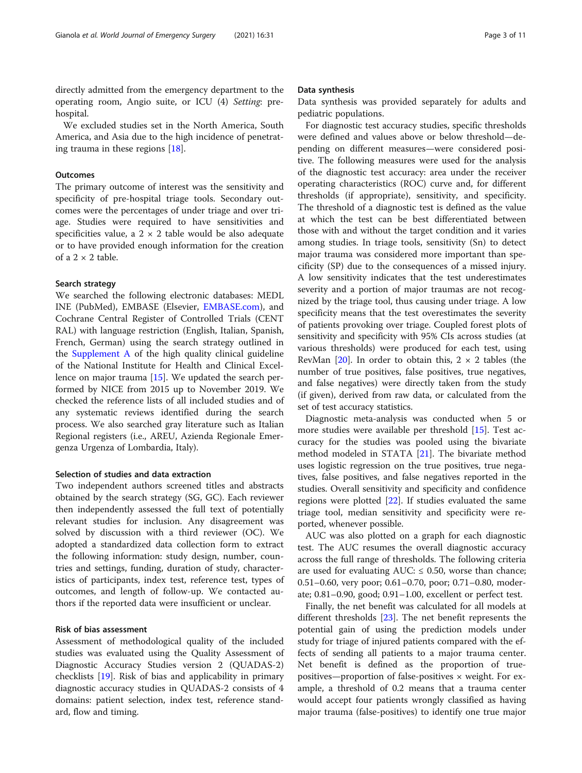directly admitted from the emergency department to the operating room, Angio suite, or ICU (4) Setting: prehospital.

We excluded studies set in the North America, South America, and Asia due to the high incidence of penetrating trauma in these regions [\[18\]](#page-10-0).

#### **Outcomes**

The primary outcome of interest was the sensitivity and specificity of pre-hospital triage tools. Secondary outcomes were the percentages of under triage and over triage. Studies were required to have sensitivities and specificities value, a  $2 \times 2$  table would be also adequate or to have provided enough information for the creation of a  $2 \times 2$  table.

#### Search strategy

We searched the following electronic databases: MEDL INE (PubMed), EMBASE (Elsevier, [EMBASE.com\)](http://embase.com), and Cochrane Central Register of Controlled Trials (CENT RAL) with language restriction (English, Italian, Spanish, French, German) using the search strategy outlined in the [Supplement A](#page-9-0) of the high quality clinical guideline of the National Institute for Health and Clinical Excellence on major trauma [[15\]](#page-9-0). We updated the search performed by NICE from 2015 up to November 2019. We checked the reference lists of all included studies and of any systematic reviews identified during the search process. We also searched gray literature such as Italian Regional registers (i.e., AREU, Azienda Regionale Emergenza Urgenza of Lombardia, Italy).

#### Selection of studies and data extraction

Two independent authors screened titles and abstracts obtained by the search strategy (SG, GC). Each reviewer then independently assessed the full text of potentially relevant studies for inclusion. Any disagreement was solved by discussion with a third reviewer (OC). We adopted a standardized data collection form to extract the following information: study design, number, countries and settings, funding, duration of study, characteristics of participants, index test, reference test, types of outcomes, and length of follow-up. We contacted authors if the reported data were insufficient or unclear.

#### Risk of bias assessment

Assessment of methodological quality of the included studies was evaluated using the Quality Assessment of Diagnostic Accuracy Studies version 2 (QUADAS-2) checklists [[19\]](#page-10-0). Risk of bias and applicability in primary diagnostic accuracy studies in QUADAS-2 consists of 4 domains: patient selection, index test, reference standard, flow and timing.

#### Data synthesis

Data synthesis was provided separately for adults and pediatric populations.

For diagnostic test accuracy studies, specific thresholds were defined and values above or below threshold—depending on different measures—were considered positive. The following measures were used for the analysis of the diagnostic test accuracy: area under the receiver operating characteristics (ROC) curve and, for different thresholds (if appropriate), sensitivity, and specificity. The threshold of a diagnostic test is defined as the value at which the test can be best differentiated between those with and without the target condition and it varies among studies. In triage tools, sensitivity (Sn) to detect major trauma was considered more important than specificity (SP) due to the consequences of a missed injury. A low sensitivity indicates that the test underestimates severity and a portion of major traumas are not recognized by the triage tool, thus causing under triage. A low specificity means that the test overestimates the severity of patients provoking over triage. Coupled forest plots of sensitivity and specificity with 95% CIs across studies (at various thresholds) were produced for each test, using RevMan  $[20]$  $[20]$ . In order to obtain this,  $2 \times 2$  tables (the number of true positives, false positives, true negatives, and false negatives) were directly taken from the study (if given), derived from raw data, or calculated from the set of test accuracy statistics.

Diagnostic meta-analysis was conducted when 5 or more studies were available per threshold [[15\]](#page-9-0). Test accuracy for the studies was pooled using the bivariate method modeled in STATA [[21](#page-10-0)]. The bivariate method uses logistic regression on the true positives, true negatives, false positives, and false negatives reported in the studies. Overall sensitivity and specificity and confidence regions were plotted [\[22](#page-10-0)]. If studies evaluated the same triage tool, median sensitivity and specificity were reported, whenever possible.

AUC was also plotted on a graph for each diagnostic test. The AUC resumes the overall diagnostic accuracy across the full range of thresholds. The following criteria are used for evaluating AUC:  $\leq$  0.50, worse than chance; 0.51–0.60, very poor; 0.61–0.70, poor; 0.71–0.80, moderate; 0.81–0.90, good; 0.91–1.00, excellent or perfect test.

Finally, the net benefit was calculated for all models at different thresholds [\[23](#page-10-0)]. The net benefit represents the potential gain of using the prediction models under study for triage of injured patients compared with the effects of sending all patients to a major trauma center. Net benefit is defined as the proportion of truepositives—proportion of false-positives  $\times$  weight. For example, a threshold of 0.2 means that a trauma center would accept four patients wrongly classified as having major trauma (false-positives) to identify one true major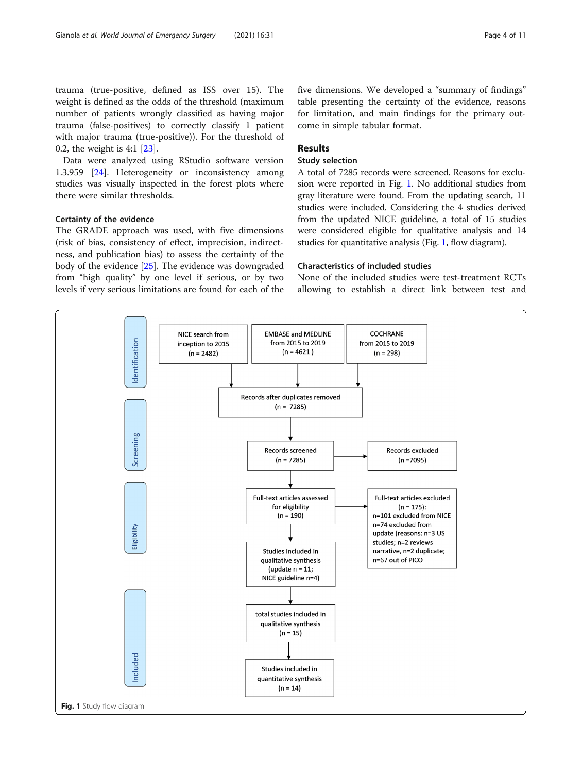trauma (true-positive, defined as ISS over 15). The weight is defined as the odds of the threshold (maximum number of patients wrongly classified as having major trauma (false-positives) to correctly classify 1 patient with major trauma (true-positive)). For the threshold of 0.2, the weight is 4:1 [[23\]](#page-10-0).

Data were analyzed using RStudio software version 1.3.959 [\[24](#page-10-0)]. Heterogeneity or inconsistency among studies was visually inspected in the forest plots where there were similar thresholds.

#### Certainty of the evidence

The GRADE approach was used, with five dimensions (risk of bias, consistency of effect, imprecision, indirectness, and publication bias) to assess the certainty of the body of the evidence [\[25](#page-10-0)]. The evidence was downgraded from "high quality" by one level if serious, or by two levels if very serious limitations are found for each of the

five dimensions. We developed a "summary of findings" table presenting the certainty of the evidence, reasons for limitation, and main findings for the primary outcome in simple tabular format.

#### Results

#### Study selection

A total of 7285 records were screened. Reasons for exclusion were reported in Fig. 1. No additional studies from gray literature were found. From the updating search, 11 studies were included. Considering the 4 studies derived from the updated NICE guideline, a total of 15 studies were considered eligible for qualitative analysis and 14 studies for quantitative analysis (Fig. 1, flow diagram).

#### Characteristics of included studies

None of the included studies were test-treatment RCTs allowing to establish a direct link between test and

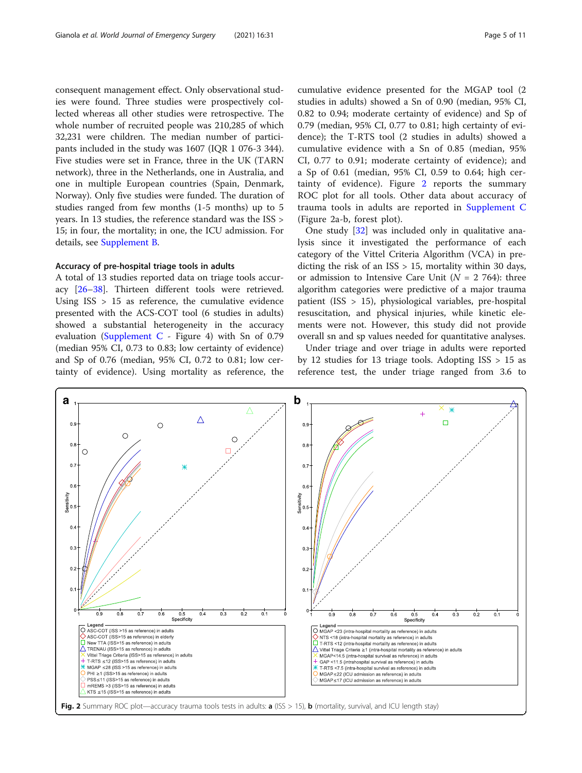consequent management effect. Only observational studies were found. Three studies were prospectively collected whereas all other studies were retrospective. The whole number of recruited people was 210,285 of which 32,231 were children. The median number of participants included in the study was 1607 (IQR 1 076-3 344). Five studies were set in France, three in the UK (TARN network), three in the Netherlands, one in Australia, and one in multiple European countries (Spain, Denmark, Norway). Only five studies were funded. The duration of studies ranged from few months (1-5 months) up to 5 years. In 13 studies, the reference standard was the ISS > 15; in four, the mortality; in one, the ICU admission. For details, see [Supplement B](#page-9-0).

#### Accuracy of pre-hospital triage tools in adults

A total of 13 studies reported data on triage tools accuracy [[26](#page-10-0)–[38](#page-10-0)]. Thirteen different tools were retrieved. Using  $ISS > 15$  as reference, the cumulative evidence presented with the ACS-COT tool (6 studies in adults) showed a substantial heterogeneity in the accuracy evaluation [\(Supplement C](#page-9-0) - Figure 4) with Sn of  $0.79$ (median 95% CI, 0.73 to 0.83; low certainty of evidence) and Sp of 0.76 (median, 95% CI, 0.72 to 0.81; low certainty of evidence). Using mortality as reference, the cumulative evidence presented for the MGAP tool (2 studies in adults) showed a Sn of 0.90 (median, 95% CI, 0.82 to 0.94; moderate certainty of evidence) and Sp of 0.79 (median, 95% CI, 0.77 to 0.81; high certainty of evidence); the T-RTS tool (2 studies in adults) showed a cumulative evidence with a Sn of 0.85 (median, 95% CI, 0.77 to 0.91; moderate certainty of evidence); and a Sp of 0.61 (median, 95% CI, 0.59 to 0.64; high certainty of evidence). Figure 2 reports the summary ROC plot for all tools. Other data about accuracy of trauma tools in adults are reported in [Supplement C](#page-9-0) (Figure 2a-b, forest plot).

One study [[32\]](#page-10-0) was included only in qualitative analysis since it investigated the performance of each category of the Vittel Criteria Algorithm (VCA) in predicting the risk of an ISS > 15, mortality within 30 days, or admission to Intensive Care Unit ( $N = 2,764$ ): three algorithm categories were predictive of a major trauma patient (ISS > 15), physiological variables, pre-hospital resuscitation, and physical injuries, while kinetic elements were not. However, this study did not provide overall sn and sp values needed for quantitative analyses.

Under triage and over triage in adults were reported by 12 studies for 13 triage tools. Adopting ISS > 15 as reference test, the under triage ranged from 3.6 to

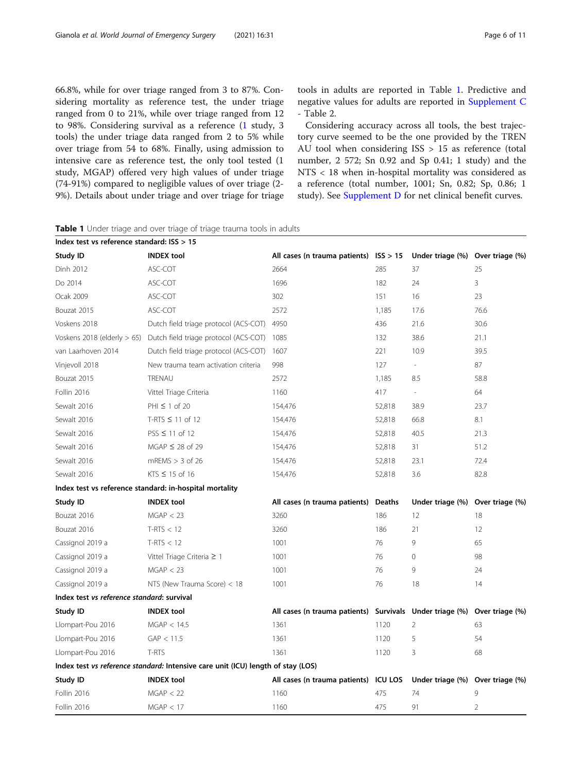66.8%, while for over triage ranged from 3 to 87%. Considering mortality as reference test, the under triage ranged from 0 to 21%, while over triage ranged from 12 to 98%. Considering survival as a reference [\(1](#page-9-0) study, 3 tools) the under triage data ranged from 2 to 5% while over triage from 54 to 68%. Finally, using admission to intensive care as reference test, the only tool tested (1 study, MGAP) offered very high values of under triage (74-91%) compared to negligible values of over triage (2- 9%). Details about under triage and over triage for triage tools in adults are reported in Table 1. Predictive and negative values for adults are reported in [Supplement C](#page-9-0) - Table 2.

Considering accuracy across all tools, the best trajectory curve seemed to be the one provided by the TREN AU tool when considering ISS > 15 as reference (total number, 2 572; Sn 0.92 and Sp 0.41; 1 study) and the NTS < 18 when in-hospital mortality was considered as a reference (total number, 1001; Sn, 0.82; Sp, 0.86; 1 study). See [Supplement D](#page-9-0) for net clinical benefit curves.

| Index test vs reference standard: $ISS > 15$            |                                                                                  |                                                          |               |                                  |                 |
|---------------------------------------------------------|----------------------------------------------------------------------------------|----------------------------------------------------------|---------------|----------------------------------|-----------------|
| Study ID                                                | <b>INDEX tool</b>                                                                | All cases (n trauma patients) $ISS > 15$                 |               | Under triage (%) Over triage (%) |                 |
| Dinh 2012                                               | ASC-COT                                                                          | 2664                                                     | 285           | 37                               | 25              |
| Do 2014                                                 | ASC-COT                                                                          | 1696                                                     | 182           | 24                               | 3               |
| Ocak 2009                                               | ASC-COT                                                                          | 302                                                      | 151           | 16                               | 23              |
| Bouzat 2015                                             | ASC-COT                                                                          | 2572                                                     | 1,185         | 17.6                             | 76.6            |
| Voskens 2018                                            | Dutch field triage protocol (ACS-COT)                                            | 4950                                                     | 436           | 21.6                             | 30.6            |
| Voskens 2018 (elderly $> 65$ )                          | Dutch field triage protocol (ACS-COT)                                            | 1085                                                     | 132           | 38.6                             | 21.1            |
| van Laarhoven 2014                                      | Dutch field triage protocol (ACS-COT)                                            | 1607                                                     | 221           | 10.9                             | 39.5            |
| Vinjevoll 2018                                          | New trauma team activation criteria                                              | 998                                                      | 127           | $\sim$                           | 87              |
| Bouzat 2015                                             | TRENAU                                                                           | 2572                                                     | 1,185         | 8.5                              | 58.8            |
| Follin 2016                                             | Vittel Triage Criteria                                                           | 1160                                                     | 417           | $\overline{\phantom{a}}$         | 64              |
| Sewalt 2016                                             | PHI $\leq$ 1 of 20                                                               | 154,476                                                  | 52,818        | 38.9                             | 23.7            |
| Sewalt 2016                                             | T-RTS $\leq$ 11 of 12                                                            | 154,476                                                  | 52,818        | 66.8                             | 8.1             |
| Sewalt 2016                                             | $PSS \leq 11$ of 12                                                              | 154,476                                                  | 52,818        | 40.5                             | 21.3            |
| Sewalt 2016                                             | $MGAP \leq 28$ of 29                                                             | 154,476                                                  | 52,818        | 31                               | 51.2            |
| Sewalt 2016                                             | $mREMS > 3$ of 26                                                                | 154,476                                                  | 52,818        | 23.1                             | 72.4            |
| Sewalt 2016                                             | KTS $\leq$ 15 of 16                                                              | 154,476                                                  | 52,818        | 3.6                              | 82.8            |
| Index test vs reference standard: in-hospital mortality |                                                                                  |                                                          |               |                                  |                 |
| Study ID                                                | <b>INDEX tool</b>                                                                | All cases (n trauma patients)                            | <b>Deaths</b> | Under triage (%) Over triage (%) |                 |
| Bouzat 2016                                             | MGAP < 23                                                                        | 3260                                                     | 186           | 12                               | 18              |
| Bouzat 2016                                             | $T-RTS < 12$                                                                     | 3260                                                     | 186           | 21                               | 12              |
| Cassignol 2019 a                                        | $T-RTS < 12$                                                                     | 1001                                                     | 76            | 9                                | 65              |
| Cassignol 2019 a                                        | Vittel Triage Criteria $\geq 1$                                                  | 1001                                                     | 76            | $\mathbf 0$                      | 98              |
| Cassignol 2019 a                                        | MGAP < 23                                                                        | 1001                                                     | 76            | 9                                | 24              |
| Cassignol 2019 a                                        | NTS (New Trauma Score) < 18                                                      | 1001                                                     | 76            | 18                               | 14              |
| Index test vs reference standard: survival              |                                                                                  |                                                          |               |                                  |                 |
| Study ID                                                | <b>INDEX tool</b>                                                                | All cases (n trauma patients) Survivals Under triage (%) |               |                                  | Over triage (%) |
| Llompart-Pou 2016                                       | MGAP < 14.5                                                                      | 1361                                                     | 1120          | 2                                | 63              |
| Llompart-Pou 2016                                       | GAP < 11.5                                                                       | 1361                                                     | 1120          | 5                                | 54              |
| Llompart-Pou 2016                                       | T-RTS                                                                            | 1361                                                     | 1120          | 3                                | 68              |
|                                                         | Index test vs reference standard: Intensive care unit (ICU) length of stay (LOS) |                                                          |               |                                  |                 |
| Study ID                                                | <b>INDEX tool</b>                                                                | All cases (n trauma patients) ICU LOS                    |               | Under triage (%) Over triage (%) |                 |
| Follin 2016                                             | MGAP < 22                                                                        | 1160                                                     | 475           | 74                               | 9               |
| Follin 2016                                             | MGAP < 17                                                                        | 1160                                                     | 475           | 91                               | 2               |

Table 1 Under triage and over triage of triage trauma tools in adults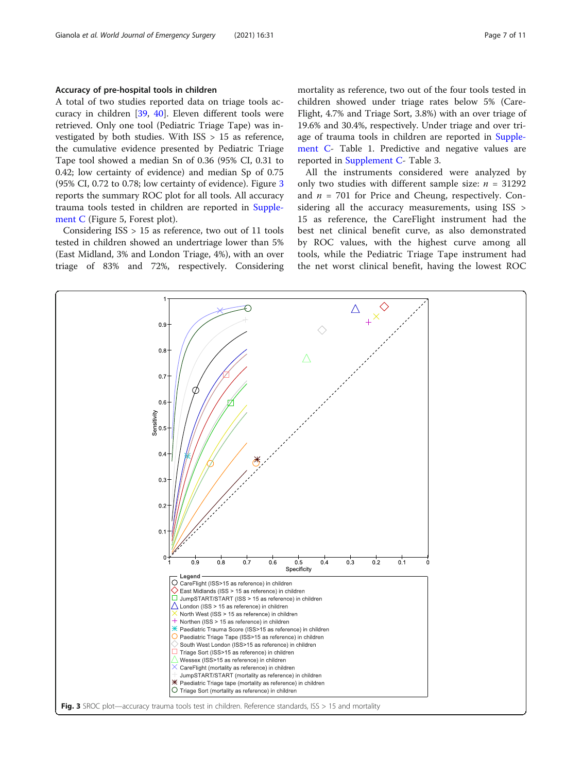#### Accuracy of pre-hospital tools in children

A total of two studies reported data on triage tools accuracy in children [\[39,](#page-10-0) [40](#page-10-0)]. Eleven different tools were retrieved. Only one tool (Pediatric Triage Tape) was investigated by both studies. With ISS > 15 as reference, the cumulative evidence presented by Pediatric Triage Tape tool showed a median Sn of 0.36 (95% CI, 0.31 to 0.42; low certainty of evidence) and median Sp of 0.75 (95% CI, 0.72 to 0.78; low certainty of evidence). Figure 3 reports the summary ROC plot for all tools. All accuracy trauma tools tested in children are reported in [Supple](#page-9-0)[ment C](#page-9-0) (Figure 5, Forest plot).

Considering ISS > 15 as reference, two out of 11 tools tested in children showed an undertriage lower than 5% (East Midland, 3% and London Triage, 4%), with an over triage of 83% and 72%, respectively. Considering mortality as reference, two out of the four tools tested in children showed under triage rates below 5% (Care-Flight, 4.7% and Triage Sort, 3.8%) with an over triage of 19.6% and 30.4%, respectively. Under triage and over tri-age of trauma tools in children are reported in [Supple](#page-9-0)[ment C](#page-9-0)- Table 1. Predictive and negative values are reported in [Supplement C-](#page-9-0) Table 3.

All the instruments considered were analyzed by only two studies with different sample size:  $n = 31292$ and  $n = 701$  for Price and Cheung, respectively. Considering all the accuracy measurements, using ISS > 15 as reference, the CareFlight instrument had the best net clinical benefit curve, as also demonstrated by ROC values, with the highest curve among all tools, while the Pediatric Triage Tape instrument had the net worst clinical benefit, having the lowest ROC

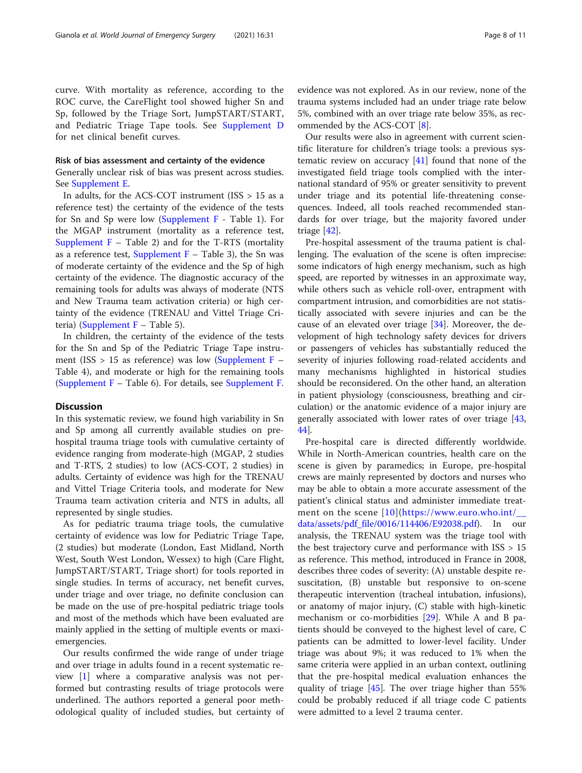curve. With mortality as reference, according to the ROC curve, the CareFlight tool showed higher Sn and Sp, followed by the Triage Sort, JumpSTART/START, and Pediatric Triage Tape tools. See [Supplement D](#page-9-0) for net clinical benefit curves.

#### Risk of bias assessment and certainty of the evidence

Generally unclear risk of bias was present across studies. See [Supplement E.](#page-9-0)

In adults, for the ACS-COT instrument (ISS > 15 as a reference test) the certainty of the evidence of the tests for Sn and Sp were low [\(Supplement F](#page-9-0) - Table 1). For the MGAP instrument (mortality as a reference test, Supplement  $F -$  Table 2) and for the T-RTS (mortality as a reference test, Supplement  $F -$  Table 3), the Sn was of moderate certainty of the evidence and the Sp of high certainty of the evidence. The diagnostic accuracy of the remaining tools for adults was always of moderate (NTS and New Trauma team activation criteria) or high certainty of the evidence (TRENAU and Vittel Triage Criteria) [\(Supplement F](#page-9-0) – Table 5).

In children, the certainty of the evidence of the tests for the Sn and Sp of the Pediatric Triage Tape instrument (ISS  $> 15$  as reference) was low ([Supplement F](#page-9-0) – Table 4), and moderate or high for the remaining tools ([Supplement F](#page-9-0) – Table 6). For details, see [Supplement F](#page-9-0).

#### **Discussion**

In this systematic review, we found high variability in Sn and Sp among all currently available studies on prehospital trauma triage tools with cumulative certainty of evidence ranging from moderate-high (MGAP, 2 studies and T-RTS, 2 studies) to low (ACS-COT, 2 studies) in adults. Certainty of evidence was high for the TRENAU and Vittel Triage Criteria tools, and moderate for New Trauma team activation criteria and NTS in adults, all represented by single studies.

As for pediatric trauma triage tools, the cumulative certainty of evidence was low for Pediatric Triage Tape, (2 studies) but moderate (London, East Midland, North West, South West London, Wessex) to high (Care Flight, JumpSTART/START, Triage short) for tools reported in single studies. In terms of accuracy, net benefit curves, under triage and over triage, no definite conclusion can be made on the use of pre-hospital pediatric triage tools and most of the methods which have been evaluated are mainly applied in the setting of multiple events or maxiemergencies.

Our results confirmed the wide range of under triage and over triage in adults found in a recent systematic review [\[1](#page-9-0)] where a comparative analysis was not performed but contrasting results of triage protocols were underlined. The authors reported a general poor methodological quality of included studies, but certainty of evidence was not explored. As in our review, none of the trauma systems included had an under triage rate below 5%, combined with an over triage rate below 35%, as recommended by the ACS-COT [\[8](#page-9-0)].

Our results were also in agreement with current scientific literature for children's triage tools: a previous systematic review on accuracy [[41](#page-10-0)] found that none of the investigated field triage tools complied with the international standard of 95% or greater sensitivity to prevent under triage and its potential life-threatening consequences. Indeed, all tools reached recommended standards for over triage, but the majority favored under triage [[42\]](#page-10-0).

Pre-hospital assessment of the trauma patient is challenging. The evaluation of the scene is often imprecise: some indicators of high energy mechanism, such as high speed, are reported by witnesses in an approximate way, while others such as vehicle roll-over, entrapment with compartment intrusion, and comorbidities are not statistically associated with severe injuries and can be the cause of an elevated over triage [[34\]](#page-10-0). Moreover, the development of high technology safety devices for drivers or passengers of vehicles has substantially reduced the severity of injuries following road-related accidents and many mechanisms highlighted in historical studies should be reconsidered. On the other hand, an alteration in patient physiology (consciousness, breathing and circulation) or the anatomic evidence of a major injury are generally associated with lower rates of over triage [[43](#page-10-0), [44\]](#page-10-0).

Pre-hospital care is directed differently worldwide. While in North-American countries, health care on the scene is given by paramedics; in Europe, pre-hospital crews are mainly represented by doctors and nurses who may be able to obtain a more accurate assessment of the patient's clinical status and administer immediate treatment on the scene [[10\]](#page-9-0)([https://www.euro.who.int/\\_\\_](https://www.euro.who.int/__data/assets/pdf_file/0016/114406/E92038.pdf) [data/assets/pdf\\_file/0016/114406/E92038.pdf](https://www.euro.who.int/__data/assets/pdf_file/0016/114406/E92038.pdf)). In our analysis, the TRENAU system was the triage tool with the best trajectory curve and performance with ISS > 15 as reference. This method, introduced in France in 2008, describes three codes of severity: (A) unstable despite resuscitation, (B) unstable but responsive to on-scene therapeutic intervention (tracheal intubation, infusions), or anatomy of major injury, (C) stable with high-kinetic mechanism or co-morbidities [[29\]](#page-10-0). While A and B patients should be conveyed to the highest level of care, C patients can be admitted to lower-level facility. Under triage was about 9%; it was reduced to 1% when the same criteria were applied in an urban context, outlining that the pre-hospital medical evaluation enhances the quality of triage [\[45](#page-10-0)]. The over triage higher than 55%

could be probably reduced if all triage code C patients

were admitted to a level 2 trauma center.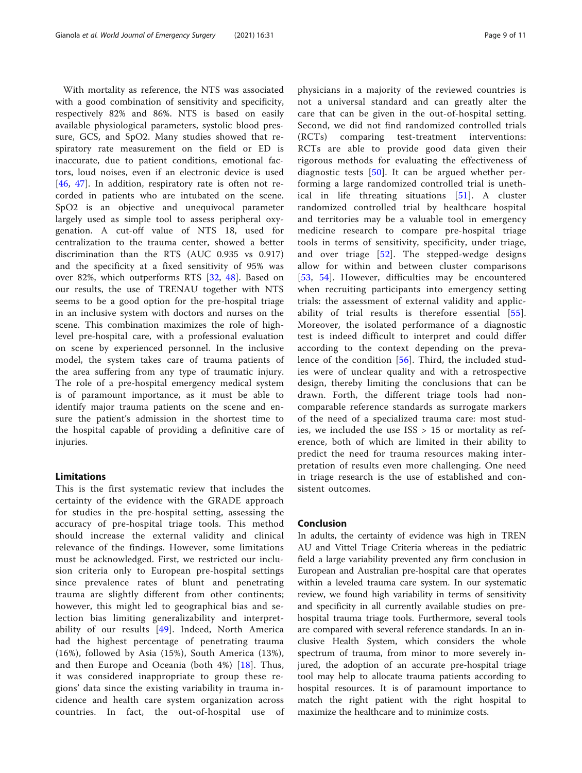With mortality as reference, the NTS was associated with a good combination of sensitivity and specificity, respectively 82% and 86%. NTS is based on easily available physiological parameters, systolic blood pressure, GCS, and SpO2. Many studies showed that respiratory rate measurement on the field or ED is inaccurate, due to patient conditions, emotional factors, loud noises, even if an electronic device is used [[46,](#page-10-0) [47\]](#page-10-0). In addition, respiratory rate is often not recorded in patients who are intubated on the scene. SpO2 is an objective and unequivocal parameter largely used as simple tool to assess peripheral oxygenation. A cut-off value of NTS 18, used for centralization to the trauma center, showed a better discrimination than the RTS (AUC 0.935 vs 0.917) and the specificity at a fixed sensitivity of 95% was over 82%, which outperforms RTS [\[32](#page-10-0), [48](#page-10-0)]. Based on our results, the use of TRENAU together with NTS seems to be a good option for the pre-hospital triage in an inclusive system with doctors and nurses on the scene. This combination maximizes the role of highlevel pre-hospital care, with a professional evaluation on scene by experienced personnel. In the inclusive model, the system takes care of trauma patients of the area suffering from any type of traumatic injury. The role of a pre-hospital emergency medical system is of paramount importance, as it must be able to identify major trauma patients on the scene and ensure the patient's admission in the shortest time to the hospital capable of providing a definitive care of injuries.

#### Limitations

This is the first systematic review that includes the certainty of the evidence with the GRADE approach for studies in the pre-hospital setting, assessing the accuracy of pre-hospital triage tools. This method should increase the external validity and clinical relevance of the findings. However, some limitations must be acknowledged. First, we restricted our inclusion criteria only to European pre-hospital settings since prevalence rates of blunt and penetrating trauma are slightly different from other continents; however, this might led to geographical bias and selection bias limiting generalizability and interpretability of our results  $[49]$  $[49]$ . Indeed, North America had the highest percentage of penetrating trauma (16%), followed by Asia (15%), South America (13%), and then Europe and Oceania (both 4%) [[18](#page-10-0)]. Thus, it was considered inappropriate to group these regions' data since the existing variability in trauma incidence and health care system organization across countries. In fact, the out-of-hospital use of physicians in a majority of the reviewed countries is not a universal standard and can greatly alter the care that can be given in the out-of-hospital setting. Second, we did not find randomized controlled trials (RCTs) comparing test-treatment interventions: RCTs are able to provide good data given their rigorous methods for evaluating the effectiveness of diagnostic tests  $[50]$  $[50]$ . It can be argued whether performing a large randomized controlled trial is unethical in life threating situations [[51](#page-10-0)]. A cluster randomized controlled trial by healthcare hospital and territories may be a valuable tool in emergency medicine research to compare pre-hospital triage tools in terms of sensitivity, specificity, under triage, and over triage  $[52]$  $[52]$  $[52]$ . The stepped-wedge designs allow for within and between cluster comparisons [[53](#page-10-0), [54\]](#page-10-0). However, difficulties may be encountered when recruiting participants into emergency setting trials: the assessment of external validity and applicability of trial results is therefore essential [[55](#page-10-0)]. Moreover, the isolated performance of a diagnostic test is indeed difficult to interpret and could differ according to the context depending on the prevalence of the condition [\[56\]](#page-10-0). Third, the included studies were of unclear quality and with a retrospective design, thereby limiting the conclusions that can be drawn. Forth, the different triage tools had noncomparable reference standards as surrogate markers of the need of a specialized trauma care: most studies, we included the use  $ISS > 15$  or mortality as reference, both of which are limited in their ability to predict the need for trauma resources making interpretation of results even more challenging. One need in triage research is the use of established and consistent outcomes.

#### Conclusion

In adults, the certainty of evidence was high in TREN AU and Vittel Triage Criteria whereas in the pediatric field a large variability prevented any firm conclusion in European and Australian pre-hospital care that operates within a leveled trauma care system. In our systematic review, we found high variability in terms of sensitivity and specificity in all currently available studies on prehospital trauma triage tools. Furthermore, several tools are compared with several reference standards. In an inclusive Health System, which considers the whole spectrum of trauma, from minor to more severely injured, the adoption of an accurate pre-hospital triage tool may help to allocate trauma patients according to hospital resources. It is of paramount importance to match the right patient with the right hospital to maximize the healthcare and to minimize costs.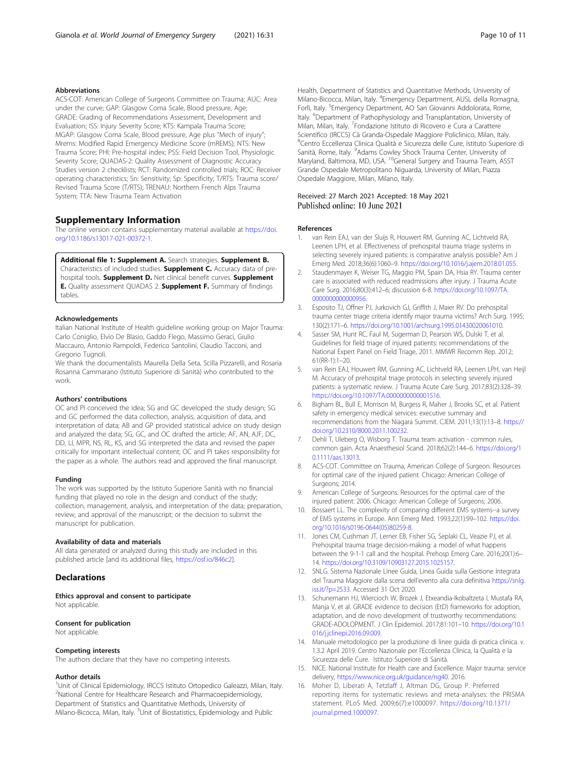#### <span id="page-9-0"></span>Abbreviations

ACS-COT: American College of Surgeons Committee on Trauma; AUC: Area under the curve; GAP: Glasgow Coma Scale, Blood pressure, Age; GRADE: Grading of Recommendations Assessment, Development and Evaluation; ISS: Injury Severity Score; KTS: Kampala Trauma Score; MGAP: Glasgow Coma Scale, Blood pressure, Age plus "Mech of injury"; Mrems: Modified Rapid Emergency Medicine Score (mREMS); NTS: New Trauma Score; PHI: Pre-hospital index; PSS: Field Decision Tool, Physiologic Severity Score; QUADAS-2: Quality Assessment of Diagnostic Accuracy Studies version 2 checklists; RCT: Randomized controlled trials; ROC: Receiver operating characteristics; Sn: Sensitivity; Sp: Specificity; T/RTS: Trauma score/ Revised Trauma Score (T/RTS); TRENAU: Northern French Alps Trauma System; TTA: New Trauma Team Activation

#### Supplementary Information

The online version contains supplementary material available at [https://doi.](https://doi.org/10.1186/s13017-021-00372-1) [org/10.1186/s13017-021-00372-1.](https://doi.org/10.1186/s13017-021-00372-1)

Additional file 1: Supplement A. Search strategies. Supplement B. Characteristics of included studies. **Supplement C.** Accuracy data of prehospital tools. Supplement D. Net clinical benefit curves. Supplement E. Quality assessment QUADAS 2. Supplement F. Summary of findings tables.

#### Acknowledgements

Italian National Institute of Health guideline working group on Major Trauma: Carlo Coniglio, Elvio De Blasio, Gaddo Flego, Massimo Geraci, Giulio Maccauro, Antonio Rampoldi, Federico Santolini, Claudio Tacconi, and Gregorio Tugnoli.

We thank the documentalists Maurella Della Seta, Scilla Pizzarelli, and Rosaria Rosanna Cammarano (Istituto Superiore di Sanità) who contributed to the work.

#### Authors' contributions

OC and PI conceived the idea; SG and GC developed the study design; SG and GC performed the data collection, analysis, acquisition of data, and interpretation of data; AB and GP provided statistical advice on study design and analyzed the data; SG, GC, and OC drafted the article; AF, AN, AJF, DC, DD, LI, MPR, NS, RL, KS, and SG interpreted the data and revised the paper critically for important intellectual content; OC and PI takes responsibility for the paper as a whole. The authors read and approved the final manuscript.

#### Funding

The work was supported by the Istituto Superiore Sanità with no financial funding that played no role in the design and conduct of the study; collection, management, analysis, and interpretation of the data; preparation, review, and approval of the manuscript; or the decision to submit the manuscript for publication.

#### Availability of data and materials

All data generated or analyzed during this study are included in this published article [and its additional files, <https://osf.io/846c2>].

#### **Declarations**

Ethics approval and consent to participate Not applicable.

#### Consent for publication

Not applicable.

#### Competing interests

The authors declare that they have no competing interests.

#### Author details

<sup>1</sup>Unit of Clinical Epidemiology, IRCCS Istituto Ortopedico Galeazzi, Milan, Italy. 2 National Centre for Healthcare Research and Pharmacoepidemiology, Department of Statistics and Quantitative Methods, University of Milano-Bicocca, Milan, Italy. <sup>3</sup>Unit of Biostatistics, Epidemiology and Public

Health, Department of Statistics and Quantitative Methods, University of Milano-Bicocca, Milan, Italy. <sup>4</sup>Emergency Department, AUSL della Romagna, Forlì, Italy. <sup>5</sup>Emergency Department, AO San Giovanni Addolorata, Rome, Italy. <sup>6</sup>Department of Pathophysiology and Transplantation, University of Milan, Milan, Italy. <sup>7</sup> Fondazione Istituto di Ricovero e Cura a Carattere Scientifico (IRCCS) Cà Granda-Ospedale Maggiore Policlinico, Milan, Italy. 8 Centro Eccellenza Clinica Qualità e Sicurezza delle Cure, Istituto Superiore di Sanità, Rome, Italy. <sup>9</sup> Adams Cowley Shock Trauma Center, University of Maryland, Baltimora, MD, USA. <sup>10</sup>General Surgery and Trauma Team, ASST Grande Ospedale Metropolitano Niguarda, University of Milan, Piazza Ospedale Maggiore, Milan, Milano, Italy.

#### Received: 27 March 2021 Accepted: 18 May 2021 Published online: 10 June 2021

#### References

- 1. van Rein EAJ, van der Sluijs R, Houwert RM, Gunning AC, Lichtveld RA, Leenen LPH, et al. Effectiveness of prehospital trauma triage systems in selecting severely injured patients: is comparative analysis possible? Am J Emerg Med. 2018;36(6):1060–9. <https://doi.org/10.1016/j.ajem.2018.01.055>.
- 2. Staudenmayer K, Weiser TG, Maggio PM, Spain DA, Hsia RY. Trauma center care is associated with reduced readmissions after injury. J Trauma Acute Care Surg. 2016;80(3):412–6; discussion 6-8. [https://doi.org/10.1097/TA.](https://doi.org/10.1097/TA.0000000000000956) [0000000000000956](https://doi.org/10.1097/TA.0000000000000956).
- 3. Esposito TJ, Offner PJ, Jurkovich GJ, Griffith J, Maier RV. Do prehospital trauma center triage criteria identify major trauma victims? Arch Surg. 1995; 130(2):171–6. <https://doi.org/10.1001/archsurg.1995.01430020061010>.
- 4. Sasser SM, Hunt RC, Faul M, Sugerman D, Pearson WS, Dulski T, et al. Guidelines for field triage of injured patients: recommendations of the National Expert Panel on Field Triage, 2011. MMWR Recomm Rep. 2012; 61(RR-1):1–20.
- 5. van Rein EAJ, Houwert RM, Gunning AC, Lichtveld RA, Leenen LPH, van Heijl M. Accuracy of prehospital triage protocols in selecting severely injured patients: a systematic review. J Trauma Acute Care Surg. 2017;83(2):328–39. <https://doi.org/10.1097/TA.0000000000001516>.
- 6. Bigham BL, Bull E, Morrison M, Burgess R, Maher J, Brooks SC, et al. Patient safety in emergency medical services: executive summary and recommendations from the Niagara Summit. CJEM. 2011;13(1):13–8. [https://](https://doi.org/10.2310/8000.2011.100232) [doi.org/10.2310/8000.2011.100232](https://doi.org/10.2310/8000.2011.100232).
- 7. Dehli T, Uleberg O, Wisborg T. Trauma team activation common rules, common gain. Acta Anaesthesiol Scand. 2018;62(2):144–6. [https://doi.org/1](https://doi.org/10.1111/aas.13013) [0.1111/aas.13013.](https://doi.org/10.1111/aas.13013)
- 8. ACS-COT. Committee on Trauma, American College of Surgeon. Resources for optimal care of the injured patient. Chicago: American College of Surgeons; 2014.
- 9. American College of Surgeons. Resources for the optimal care of the injured patient: 2006. Chicago: American College of Surgeons; 2006.
- 10. Bossaert LL. The complexity of comparing different EMS systems--a survey of EMS systems in Europe. Ann Emerg Med. 1993;22(1):99–102. [https://doi.](https://doi.org/10.1016/s0196-0644(05)80259-8) [org/10.1016/s0196-0644\(05\)80259-8](https://doi.org/10.1016/s0196-0644(05)80259-8).
- 11. Jones CM, Cushman JT, Lerner EB, Fisher SG, Seplaki CL, Veazie PJ, et al. Prehospital trauma triage decision-making: a model of what happens between the 9-1-1 call and the hospital. Prehosp Emerg Care. 2016;20(1):6– 14. <https://doi.org/10.3109/10903127.2015.1025157>.
- 12. SNLG. Sistema Nazionale Linee Guida, Linea Guida sulla Gestione Integrata del Trauma Maggiore dalla scena dell'evento alla cura definitiva [https://snlg.](https://snlg.iss.it/?p=2533) [iss.it/?p=2533](https://snlg.iss.it/?p=2533). Accessed 31 Oct 2020.
- 13. Schunemann HJ, Wiercioch W, Brozek J, Etxeandia-Ikobaltzeta I, Mustafa RA, Manja V, et al. GRADE evidence to decision (EtD) frameworks for adoption, adaptation, and de novo development of trustworthy recommendations: GRADE-ADOLOPMENT. J Clin Epidemiol. 2017;81:101–10. [https://doi.org/10.1](https://doi.org/10.1016/j.jclinepi.2016.09.009) [016/j.jclinepi.2016.09.009](https://doi.org/10.1016/j.jclinepi.2016.09.009).
- 14. Manuale metodologico per la produzione di linee guida di pratica clinica. v. 1.3.2 April 2019. Centro Nazionale per l'Eccellenza Clinica, la Qualità e la Sicurezza delle Cure. Istituto Superiore di Sanità.
- 15. NICE. National Institute for Health care and Excellence. Major trauma: service delivery, [https://www.nice.org.uk/guidance/ng40.](https://www.nice.org.uk/guidance/ng40) 2016.
- 16. Moher D, Liberati A, Tetzlaff J, Altman DG, Group P. Preferred reporting items for systematic reviews and meta-analyses: the PRISMA statement. PLoS Med. 2009;6(7):e1000097. [https://doi.org/10.1371/](https://doi.org/10.1371/journal.pmed.1000097) [journal.pmed.1000097](https://doi.org/10.1371/journal.pmed.1000097).